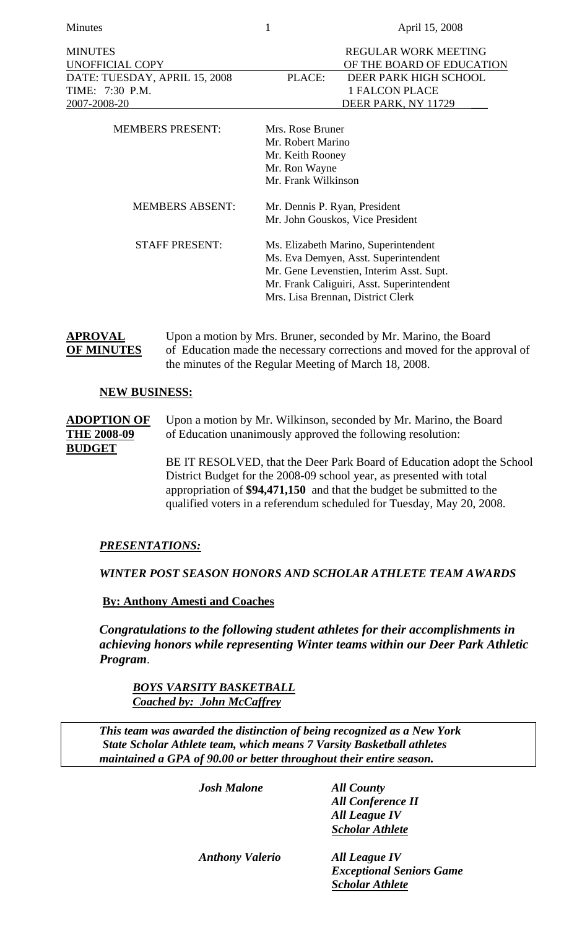Minutes 1 April 15, 2008

| <b>MINUTES</b><br><b>UNOFFICIAL COPY</b><br>DATE: TUESDAY, APRIL 15, 2008<br>TIME: 7:30 P.M.<br>2007-2008-20 | <b>REGULAR WORK MEETING</b><br>OF THE BOARD OF EDUCATION<br>DEER PARK HIGH SCHOOL<br>PLACE:<br><b>1 FALCON PLACE</b><br>DEER PARK, NY 11729                                                                |  |
|--------------------------------------------------------------------------------------------------------------|------------------------------------------------------------------------------------------------------------------------------------------------------------------------------------------------------------|--|
| <b>MEMBERS PRESENT:</b>                                                                                      | Mrs. Rose Bruner<br>Mr. Robert Marino<br>Mr. Keith Rooney<br>Mr. Ron Wayne<br>Mr. Frank Wilkinson                                                                                                          |  |
| <b>MEMBERS ABSENT:</b>                                                                                       | Mr. Dennis P. Ryan, President<br>Mr. John Gouskos, Vice President                                                                                                                                          |  |
| <b>STAFF PRESENT:</b>                                                                                        | Ms. Elizabeth Marino, Superintendent<br>Ms. Eva Demyen, Asst. Superintendent<br>Mr. Gene Levenstien, Interim Asst. Supt.<br>Mr. Frank Caliguiri, Asst. Superintendent<br>Mrs. Lisa Brennan, District Clerk |  |

**APROVAL** Upon a motion by Mrs. Bruner, seconded by Mr. Marino, the Board **OF MINUTES** of Education made the necessary corrections and moved for the approval of the minutes of the Regular Meeting of March 18, 2008.

### **NEW BUSINESS:**

**ADOPTION OF** Upon a motion by Mr. Wilkinson, seconded by Mr. Marino, the Board **THE 2008-09** of Education unanimously approved the following resolution: **BUDGET**

> BE IT RESOLVED, that the Deer Park Board of Education adopt the School District Budget for the 2008-09 school year, as presented with total appropriation of **\$94,471,150** and that the budget be submitted to the qualified voters in a referendum scheduled for Tuesday, May 20, 2008.

# *PRESENTATIONS:*

 *WINTER POST SEASON HONORS AND SCHOLAR ATHLETE TEAM AWARDS* 

# **By: Anthony Amesti and Coaches**

*Congratulations to the following student athletes for their accomplishments in achieving honors while representing Winter teams within our Deer Park Athletic Program*.

 *BOYS VARSITY BASKETBALL Coached by: John McCaffrey*

*This team was awarded the distinction of being recognized as a New York State Scholar Athlete team, which means 7 Varsity Basketball athletes maintained a GPA of 90.00 or better throughout their entire season.* 

| <b>Josh Malone</b>     | <b>All County</b>               |
|------------------------|---------------------------------|
|                        | <b>All Conference II</b>        |
|                        | <b>All League IV</b>            |
|                        | <b>Scholar Athlete</b>          |
| <b>Anthony Valerio</b> | <b>All League IV</b>            |
|                        | <b>Exceptional Seniors Game</b> |
|                        | <b>Scholar Athlete</b>          |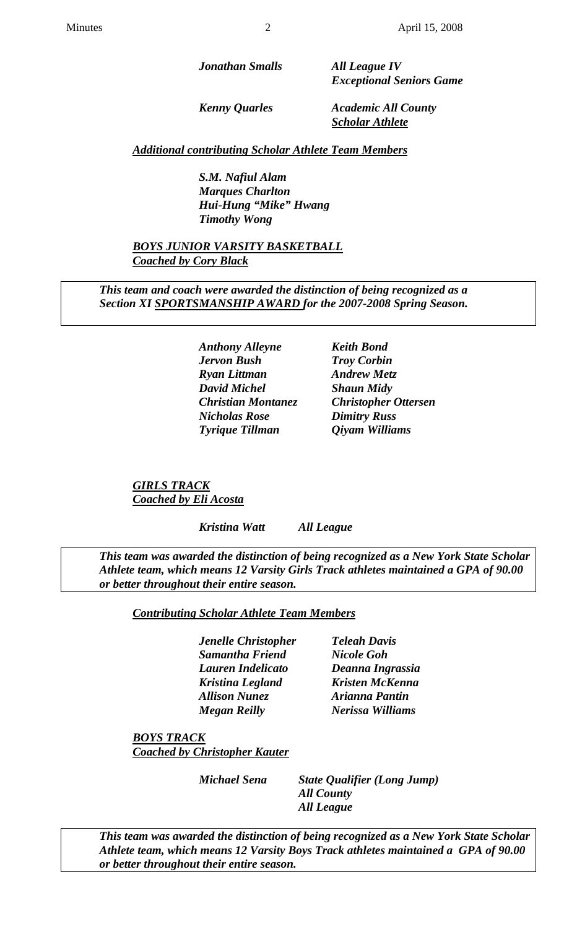*Jonathan Smalls All League IV* 

 *Exceptional Seniors Game* 

 *Kenny Quarles Academic All County Scholar Athlete*

 *Additional contributing Scholar Athlete Team Members*

 *S.M. Nafiul Alam Marques Charlton Hui-Hung "Mike" Hwang Timothy Wong* 

 *BOYS JUNIOR VARSITY BASKETBALL Coached by Cory Black*

 *This team and coach were awarded the distinction of being recognized as a Section XI SPORTSMANSHIP AWARD for the 2007-2008 Spring Season.* 

> *Anthony Alleyne Keith Bond Jervon Bush Troy Corbin Ryan Littman Andrew Metz David Michel Shaun Midy Nicholas Rose Dimitry Russ Tyrique Tillman Qiyam Williams*

 *Christian Montanez Christopher Ottersen* 

 *GIRLS TRACK Coached by Eli Acosta*

 *Kristina Watt All League* 

*This team was awarded the distinction of being recognized as a New York State Scholar Athlete team, which means 12 Varsity Girls Track athletes maintained a GPA of 90.00 or better throughout their entire season.* 

 *Contributing Scholar Athlete Team Members*

 *Jenelle Christopher Teleah Davis Samantha Friend Nicole Goh Lauren Indelicato Deanna Ingrassia Kristina Legland Kristen McKenna Allison Nunez Arianna Pantin* 

 *Megan Reilly Nerissa Williams* 

 *BOYS TRACK Coached by Christopher Kauter*

 *Michael Sena State Qualifier (Long Jump) All County All League* 

 *This team was awarded the distinction of being recognized as a New York State Scholar Athlete team, which means 12 Varsity Boys Track athletes maintained a GPA of 90.00 or better throughout their entire season.*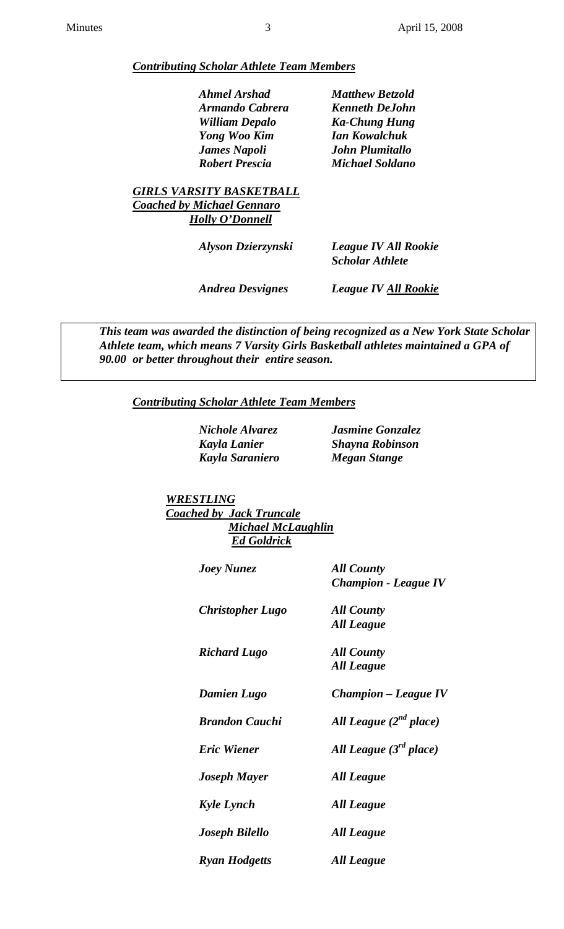### *Contributing Scholar Athlete Team Members*

| Ahmel Arshad          |
|-----------------------|
| Armando Cabrera       |
| <b>William Depalo</b> |
| <b>Yong Woo Kim</b>   |
| <b>James Napoli</b>   |
| <b>Robert Prescia</b> |

 *Ahmel Arshad Matthew Betzold Armando Cabrera Kenneth DeJohn William Depalo Ka-Chung Hung Yong Woo Kim Ian Kowalchuk James Napoli John Plumitallo Michael Soldano* 

 *GIRLS VARSITY BASKETBALL Coached by Michael Gennaro Holly O'Donnell*

| Alyson Dzierzynski | <b>League IV All Rookie</b><br><b>Scholar Athlete</b> |
|--------------------|-------------------------------------------------------|
|                    |                                                       |

 *Andrea Desvignes League IV All Rookie*

 *This team was awarded the distinction of being recognized as a New York State Scholar Athlete team, which means 7 Varsity Girls Basketball athletes maintained a GPA of 90.00 or better throughout their entire season.* 

### *Contributing Scholar Athlete Team Members*

 *Nichole Alvarez Jasmine Gonzalez Kayla Saraniero Megan Stange* 

 *Kayla Lanier Shayna Robinson* 

 *WRESTLING Coached by Jack Truncale Michael McLaughlin Ed Goldrick*

| <b>Joey Nunez</b>       | <b>All County</b><br><b>Champion - League IV</b> |
|-------------------------|--------------------------------------------------|
| <b>Christopher Lugo</b> | <b>All County</b>                                |
|                         | All League                                       |
| <b>Richard Lugo</b>     | <b>All County</b>                                |
|                         | <b>All League</b>                                |
| <b>Damien Lugo</b>      | <b>Champion – League IV</b>                      |
| <b>Brandon Cauchi</b>   | All League $(2^{nd}$ place)                      |
| <b>Eric Wiener</b>      | All League $(3rd place)$                         |
| <b>Joseph Mayer</b>     | All League                                       |
| <b>Kyle Lynch</b>       | All League                                       |
| <b>Joseph Bilello</b>   | <b>All League</b>                                |
| <b>Ryan Hodgetts</b>    | <b>All League</b>                                |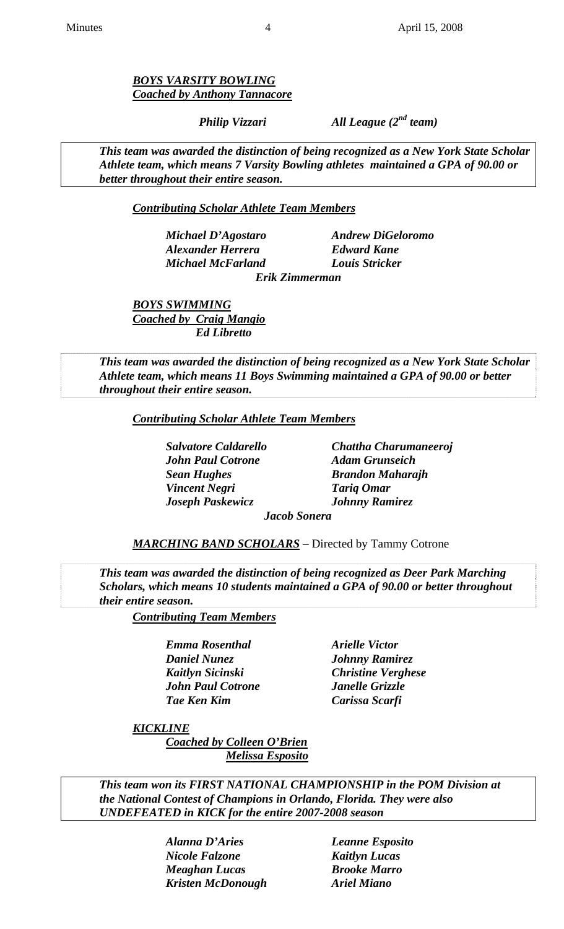*BOYS VARSITY BOWLING Coached by Anthony Tannacore*

 *Philip Vizzari All League (2nd team)* 

 *This team was awarded the distinction of being recognized as a New York State Scholar Athlete team, which means 7 Varsity Bowling athletes maintained a GPA of 90.00 or better throughout their entire season.* 

 *Contributing Scholar Athlete Team Members*

 *Michael D'Agostaro Andrew DiGeloromo Alexander Herrera Edward Kane Michael McFarland Louis Stricker* 

 *Erik Zimmerman* 

 *BOYS SWIMMING Coached by Craig Mangio Ed Libretto* 

 *This team was awarded the distinction of being recognized as a New York State Scholar Athlete team, which means 11 Boys Swimming maintained a GPA of 90.00 or better throughout their entire season.* 

 *Contributing Scholar Athlete Team Members*

 *John Paul Cotrone Adam Grunseich Sean Hughes Brandon Maharajh Vincent Negri Tariq Omar Joseph Paskewicz Johnny Ramirez* 

 *Salvatore Caldarello Chattha Charumaneeroj* 

 *Jacob Sonera* 

 *MARCHING BAND SCHOLARS* – Directed by Tammy Cotrone

 *This team was awarded the distinction of being recognized as Deer Park Marching Scholars, which means 10 students maintained a GPA of 90.00 or better throughout their entire season.* 

 *Contributing Team Members*

*Emma Rosenthal Arielle Victor Daniel Nunez Johnny Ramirez Kaitlyn Sicinski Christine Verghese John Paul Cotrone Janelle Grizzle Tae Ken Kim Carissa Scarfi* 

 *KICKLINE*

 *Coached by Colleen O'Brien Melissa Esposito*

 *This team won its FIRST NATIONAL CHAMPIONSHIP in the POM Division at the National Contest of Champions in Orlando, Florida. They were also UNDEFEATED in KICK for the entire 2007-2008 season* 

> *Alanna D'Aries Leanne Esposito Nicole Falzone Kaitlyn Lucas Meaghan Lucas Brooke Marro Kristen McDonough Ariel Miano*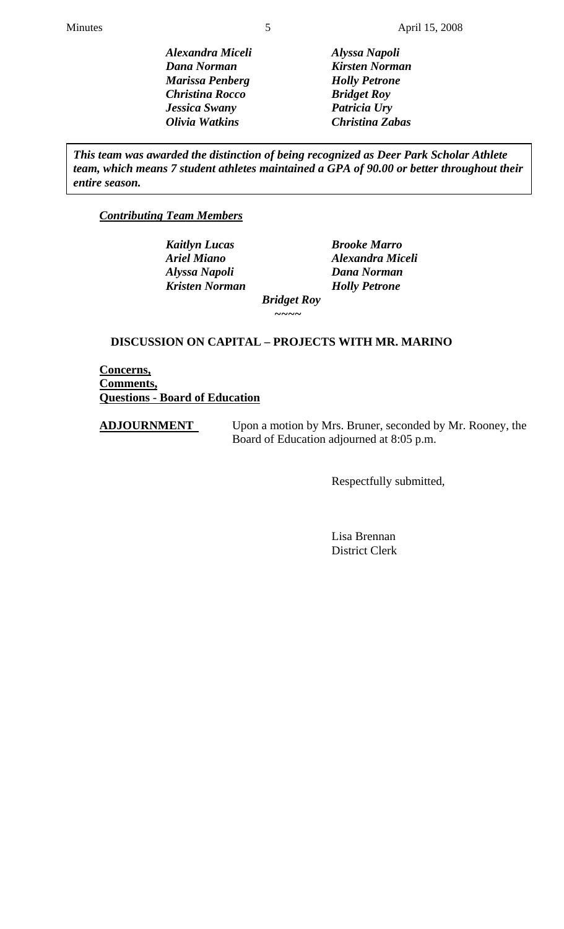*Alexandra Miceli Alyssa Napoli Dana Norman Kirsten Norman Marissa Penberg Holly Petrone Christina Rocco Bridget Roy Jessica Swany Patricia Ury Olivia Watkins Christina Zabas* 

*This team was awarded the distinction of being recognized as Deer Park Scholar Athlete team, which means 7 student athletes maintained a GPA of 90.00 or better throughout their entire season.* 

# *Contributing Team Members*

 *Kaitlyn Lucas Brooke Marro Alyssa Napoli Dana Norman Kristen Norman Holly Petrone* 

 *Ariel Miano Alexandra Miceli* 

 *Bridget Roy ~~~~* 

# **DISCUSSION ON CAPITAL – PROJECTS WITH MR. MARINO**

**Concerns, Comments, Questions - Board of Education**

**ADJOURNMENT** Upon a motion by Mrs. Bruner, seconded by Mr. Rooney, the Board of Education adjourned at 8:05 p.m.

Respectfully submitted,

 Lisa Brennan District Clerk